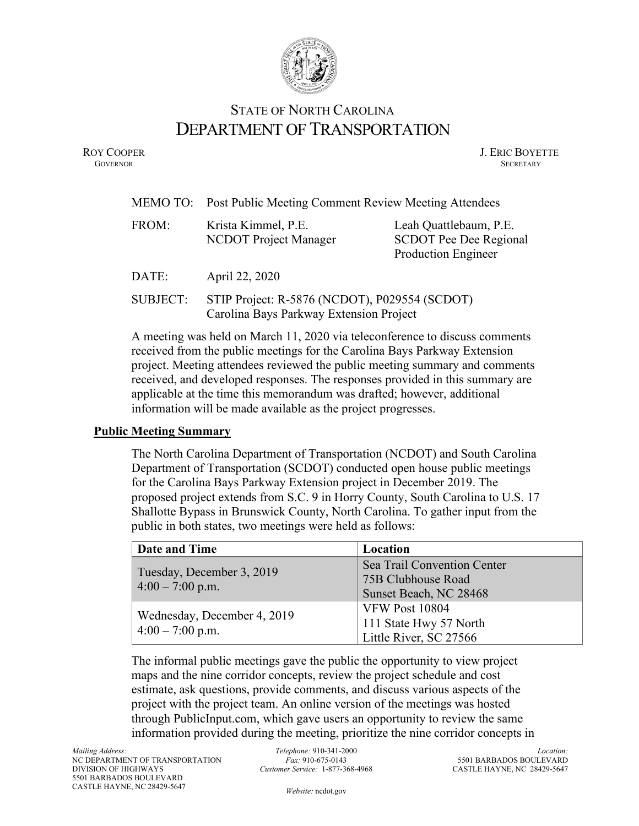

# STATE OF NORTH CAROLINA DEPARTMENT OF TRANSPORTATION

ROY COOPER J. ERIC BOYETTE GOVERNOR SECRETARY **GOVERNOR SECRETARY** SECRETARY

| MEMO TO:        | Post Public Meeting Comment Review Meeting Attendees                                     |                                                                                |
|-----------------|------------------------------------------------------------------------------------------|--------------------------------------------------------------------------------|
| FROM:           | Krista Kimmel, P.E.<br>NCDOT Project Manager                                             | Leah Quattlebaum, P.E.<br><b>SCDOT Pee Dee Regional</b><br>Production Engineer |
| DATE:           | April 22, 2020                                                                           |                                                                                |
| <b>SUBJECT:</b> | STIP Project: R-5876 (NCDOT), P029554 (SCDOT)<br>Carolina Bays Parkway Extension Project |                                                                                |

A meeting was held on March 11, 2020 via teleconference to discuss comments received from the public meetings for the Carolina Bays Parkway Extension project. Meeting attendees reviewed the public meeting summary and comments received, and developed responses. The responses provided in this summary are applicable at the time this memorandum was drafted; however, additional information will be made available as the project progresses.

### **Public Meeting Summary**

The North Carolina Department of Transportation (NCDOT) and South Carolina Department of Transportation (SCDOT) conducted open house public meetings for the Carolina Bays Parkway Extension project in December 2019. The proposed project extends from S.C. 9 in Horry County, South Carolina to U.S. 17 Shallotte Bypass in Brunswick County, North Carolina. To gather input from the public in both states, two meetings were held as follows:

| Date and Time               | Location                                          |
|-----------------------------|---------------------------------------------------|
| Tuesday, December 3, 2019   | Sea Trail Convention Center<br>75B Clubhouse Road |
| $4:00 - 7:00$ p.m.          | Sunset Beach, NC 28468                            |
|                             | <b>VFW Post 10804</b>                             |
| Wednesday, December 4, 2019 | 111 State Hwy 57 North                            |
| $4:00 - 7:00$ p.m.          | Little River, SC 27566                            |

The informal public meetings gave the public the opportunity to view project maps and the nine corridor concepts, review the project schedule and cost estimate, ask questions, provide comments, and discuss various aspects of the project with the project team. An online version of the meetings was hosted through PublicInput.com, which gave users an opportunity to review the same information provided during the meeting, prioritize the nine corridor concepts in

*Website:* [ncdot.gov](http://www.ncdot.gov/)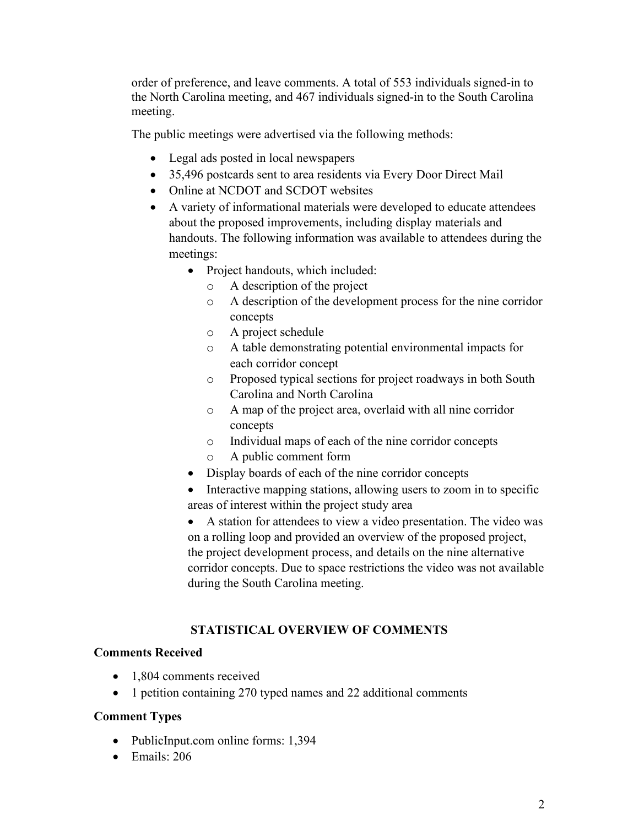order of preference, and leave comments. A total of 553 individuals signed-in to the North Carolina meeting, and 467 individuals signed-in to the South Carolina meeting.

The public meetings were advertised via the following methods:

- Legal ads posted in local newspapers
- 35,496 postcards sent to area residents via Every Door Direct Mail
- Online at NCDOT and SCDOT websites
- A variety of informational materials were developed to educate attendees about the proposed improvements, including display materials and handouts. The following information was available to attendees during the meetings:
	- Project handouts, which included:
		- o A description of the project
		- o A description of the development process for the nine corridor concepts
		- o A project schedule
		- o A table demonstrating potential environmental impacts for each corridor concept
		- o Proposed typical sections for project roadways in both South Carolina and North Carolina
		- o A map of the project area, overlaid with all nine corridor concepts
		- o Individual maps of each of the nine corridor concepts
		- A public comment form
	- Display boards of each of the nine corridor concepts
	- Interactive mapping stations, allowing users to zoom in to specific areas of interest within the project study area

• A station for attendees to view a video presentation. The video was on a rolling loop and provided an overview of the proposed project, the project development process, and details on the nine alternative corridor concepts. Due to space restrictions the video was not available during the South Carolina meeting.

## **STATISTICAL OVERVIEW OF COMMENTS**

## **Comments Received**

- 1,804 comments received
- 1 petition containing 270 typed names and 22 additional comments

## **Comment Types**

- PublicInput.com online forms: 1,394
- Emails: 206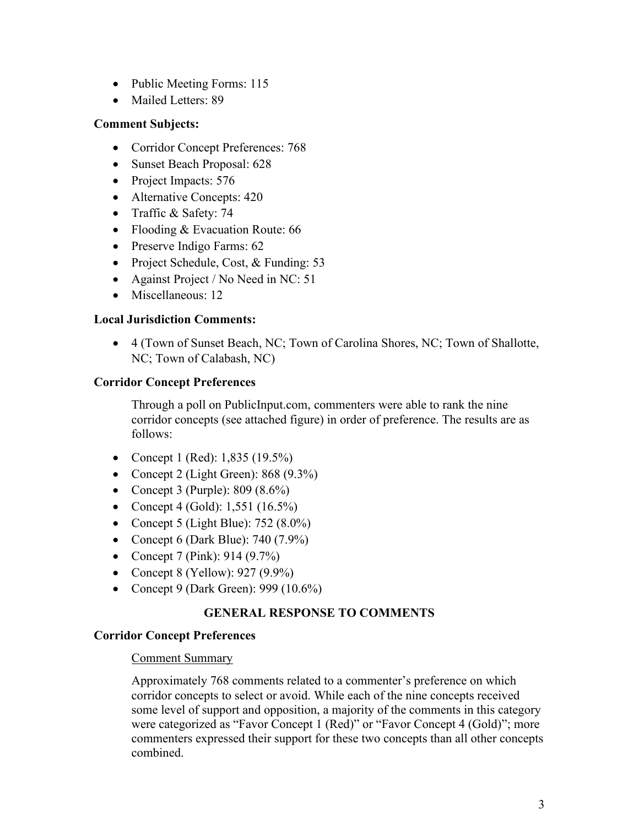- Public Meeting Forms: 115
- Mailed Letters: 89

## **Comment Subjects:**

- Corridor Concept Preferences: 768
- Sunset Beach Proposal: 628
- Project Impacts: 576
- Alternative Concepts: 420
- Traffic & Safety: 74
- Flooding & Evacuation Route: 66
- Preserve Indigo Farms: 62
- Project Schedule, Cost, & Funding: 53
- Against Project / No Need in NC: 51
- Miscellaneous: 12

### **Local Jurisdiction Comments:**

• 4 (Town of Sunset Beach, NC; Town of Carolina Shores, NC; Town of Shallotte, NC; Town of Calabash, NC)

### **Corridor Concept Preferences**

Through a poll on PublicInput.com, commenters were able to rank the nine corridor concepts (see attached figure) in order of preference. The results are as follows:

- Concept 1 (Red): 1,835 (19.5%)
- Concept 2 (Light Green):  $868(9.3\%)$
- Concept 3 (Purple):  $809 (8.6\%)$
- Concept 4 (Gold):  $1,551$  (16.5%)
- Concept 5 (Light Blue):  $752 (8.0\%)$
- Concept 6 (Dark Blue):  $740(7.9\%)$
- Concept 7 (Pink): 914 (9.7%)
- Concept 8 (Yellow): 927 (9.9%)
- Concept 9 (Dark Green): 999 (10.6%)

## **GENERAL RESPONSE TO COMMENTS**

### **Corridor Concept Preferences**

### Comment Summary

Approximately 768 comments related to a commenter's preference on which corridor concepts to select or avoid. While each of the nine concepts received some level of support and opposition, a majority of the comments in this category were categorized as "Favor Concept 1 (Red)" or "Favor Concept 4 (Gold)"; more commenters expressed their support for these two concepts than all other concepts combined.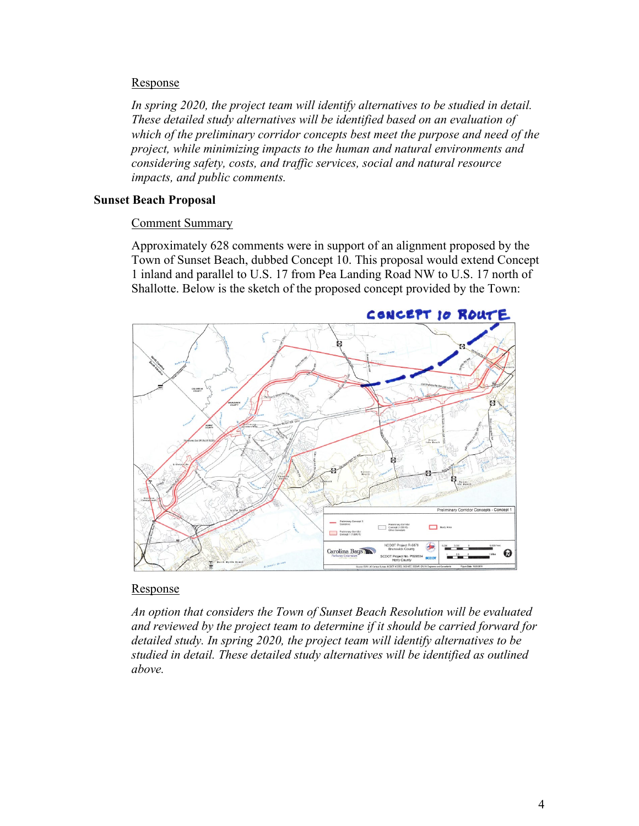### Response

*In spring 2020, the project team will identify alternatives to be studied in detail. These detailed study alternatives will be identified based on an evaluation of which of the preliminary corridor concepts best meet the purpose and need of the project, while minimizing impacts to the human and natural environments and considering safety, costs, and traffic services, social and natural resource impacts, and public comments.*

### **Sunset Beach Proposal**

### Comment Summary

Approximately 628 comments were in support of an alignment proposed by the Town of Sunset Beach, dubbed Concept 10. This proposal would extend Concept 1 inland and parallel to U.S. 17 from Pea Landing Road NW to U.S. 17 north of Shallotte. Below is the sketch of the proposed concept provided by the Town:



### Response

*An option that considers the Town of Sunset Beach Resolution will be evaluated and reviewed by the project team to determine if it should be carried forward for detailed study. In spring 2020, the project team will identify alternatives to be studied in detail. These detailed study alternatives will be identified as outlined above.*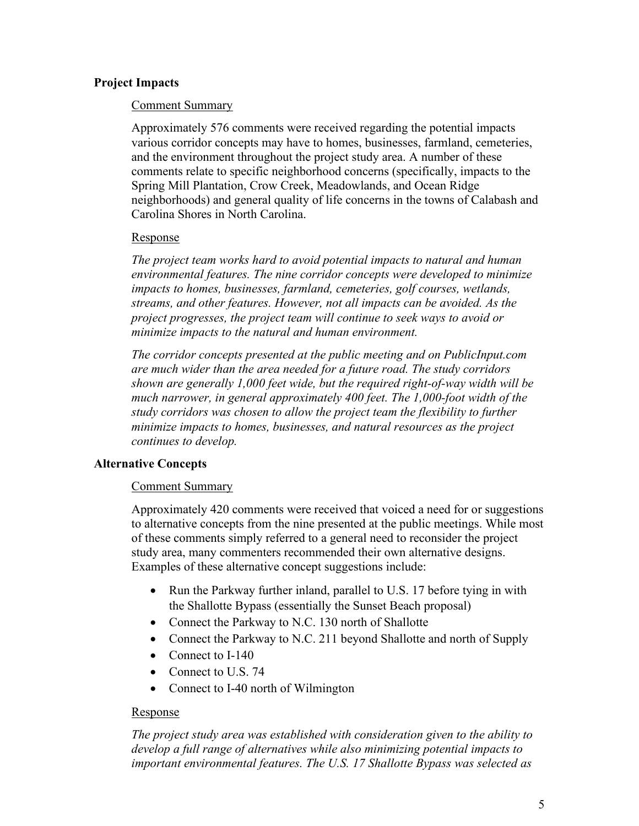## **Project Impacts**

#### Comment Summary

Approximately 576 comments were received regarding the potential impacts various corridor concepts may have to homes, businesses, farmland, cemeteries, and the environment throughout the project study area. A number of these comments relate to specific neighborhood concerns (specifically, impacts to the Spring Mill Plantation, Crow Creek, Meadowlands, and Ocean Ridge neighborhoods) and general quality of life concerns in the towns of Calabash and Carolina Shores in North Carolina.

#### Response

*The project team works hard to avoid potential impacts to natural and human environmental features. The nine corridor concepts were developed to minimize impacts to homes, businesses, farmland, cemeteries, golf courses, wetlands, streams, and other features. However, not all impacts can be avoided. As the project progresses, the project team will continue to seek ways to avoid or minimize impacts to the natural and human environment.*

*The corridor concepts presented at the public meeting and on PublicInput.com are much wider than the area needed for a future road. The study corridors shown are generally 1,000 feet wide, but the required right-of-way width will be much narrower, in general approximately 400 feet. The 1,000-foot width of the study corridors was chosen to allow the project team the flexibility to further minimize impacts to homes, businesses, and natural resources as the project continues to develop.*

### **Alternative Concepts**

### Comment Summary

Approximately 420 comments were received that voiced a need for or suggestions to alternative concepts from the nine presented at the public meetings. While most of these comments simply referred to a general need to reconsider the project study area, many commenters recommended their own alternative designs. Examples of these alternative concept suggestions include:

- Run the Parkway further inland, parallel to U.S. 17 before tying in with the Shallotte Bypass (essentially the Sunset Beach proposal)
- Connect the Parkway to N.C. 130 north of Shallotte
- Connect the Parkway to N.C. 211 beyond Shallotte and north of Supply
- Connect to I-140
- Connect to U.S. 74
- Connect to I-40 north of Wilmington

### Response

*The project study area was established with consideration given to the ability to develop a full range of alternatives while also minimizing potential impacts to important environmental features. The U.S. 17 Shallotte Bypass was selected as*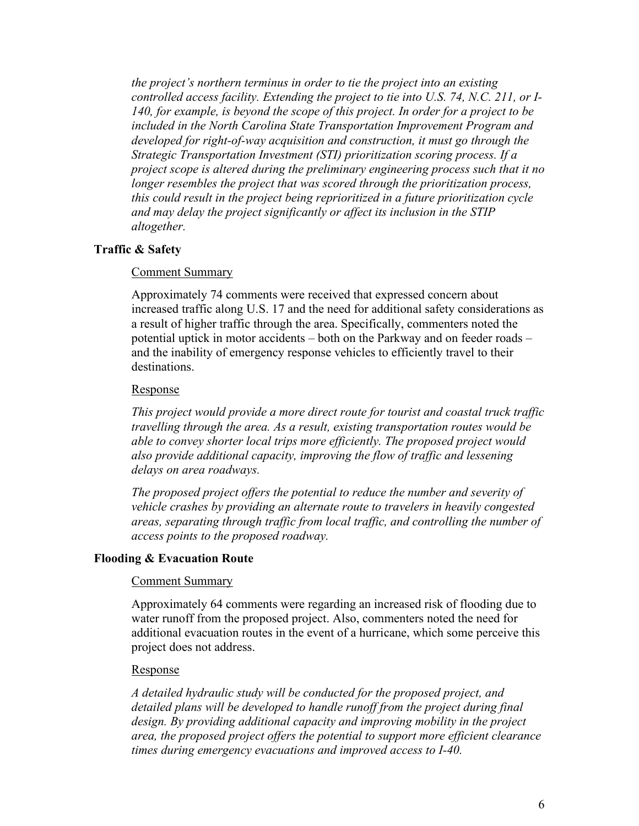*the project's northern terminus in order to tie the project into an existing controlled access facility. Extending the project to tie into U.S. 74, N.C. 211, or I-140, for example, is beyond the scope of this project. In order for a project to be included in the North Carolina State Transportation Improvement Program and developed for right-of-way acquisition and construction, it must go through the Strategic Transportation Investment (STI) prioritization scoring process. If a project scope is altered during the preliminary engineering process such that it no longer resembles the project that was scored through the prioritization process, this could result in the project being reprioritized in a future prioritization cycle and may delay the project significantly or affect its inclusion in the STIP altogether.*

#### **Traffic & Safety**

#### Comment Summary

Approximately 74 comments were received that expressed concern about increased traffic along U.S. 17 and the need for additional safety considerations as a result of higher traffic through the area. Specifically, commenters noted the potential uptick in motor accidents – both on the Parkway and on feeder roads – and the inability of emergency response vehicles to efficiently travel to their destinations.

#### Response

*This project would provide a more direct route for tourist and coastal truck traffic travelling through the area. As a result, existing transportation routes would be able to convey shorter local trips more efficiently. The proposed project would also provide additional capacity, improving the flow of traffic and lessening delays on area roadways.*

*The proposed project offers the potential to reduce the number and severity of vehicle crashes by providing an alternate route to travelers in heavily congested areas, separating through traffic from local traffic, and controlling the number of access points to the proposed roadway.*

#### **Flooding & Evacuation Route**

#### Comment Summary

Approximately 64 comments were regarding an increased risk of flooding due to water runoff from the proposed project. Also, commenters noted the need for additional evacuation routes in the event of a hurricane, which some perceive this project does not address.

#### Response

*A detailed hydraulic study will be conducted for the proposed project, and detailed plans will be developed to handle runoff from the project during final design. By providing additional capacity and improving mobility in the project area, the proposed project offers the potential to support more efficient clearance times during emergency evacuations and improved access to I-40.*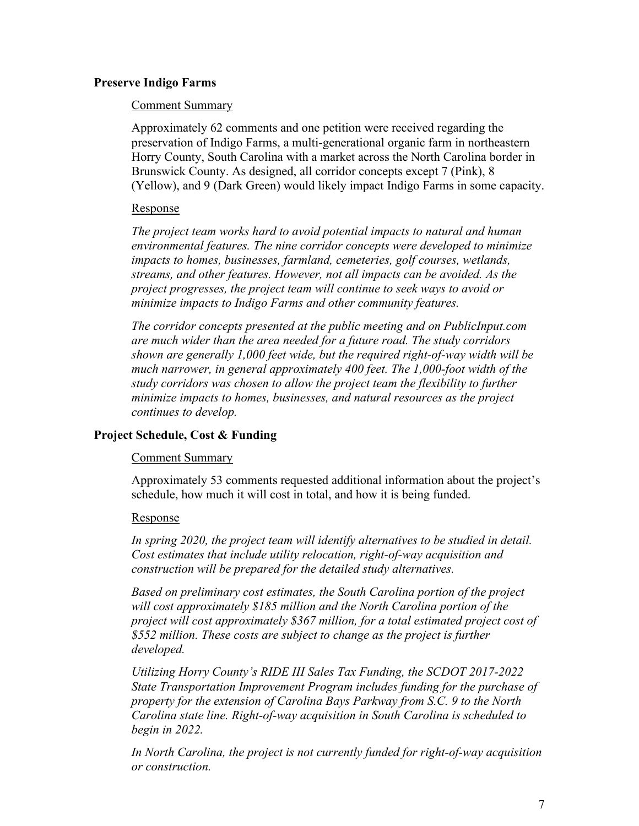### **Preserve Indigo Farms**

#### Comment Summary

Approximately 62 comments and one petition were received regarding the preservation of Indigo Farms, a multi-generational organic farm in northeastern Horry County, South Carolina with a market across the North Carolina border in Brunswick County. As designed, all corridor concepts except 7 (Pink), 8 (Yellow), and 9 (Dark Green) would likely impact Indigo Farms in some capacity.

### Response

*The project team works hard to avoid potential impacts to natural and human environmental features. The nine corridor concepts were developed to minimize impacts to homes, businesses, farmland, cemeteries, golf courses, wetlands, streams, and other features. However, not all impacts can be avoided. As the project progresses, the project team will continue to seek ways to avoid or minimize impacts to Indigo Farms and other community features.*

*The corridor concepts presented at the public meeting and on PublicInput.com are much wider than the area needed for a future road. The study corridors shown are generally 1,000 feet wide, but the required right-of-way width will be much narrower, in general approximately 400 feet. The 1,000-foot width of the study corridors was chosen to allow the project team the flexibility to further minimize impacts to homes, businesses, and natural resources as the project continues to develop.*

### **Project Schedule, Cost & Funding**

### Comment Summary

Approximately 53 comments requested additional information about the project's schedule, how much it will cost in total, and how it is being funded.

### Response

In spring 2020, the project team will identify alternatives to be studied in detail. *Cost estimates that include utility relocation, right-of-way acquisition and construction will be prepared for the detailed study alternatives.* 

*Based on preliminary cost estimates, the South Carolina portion of the project will cost approximately \$185 million and the North Carolina portion of the project will cost approximately \$367 million, for a total estimated project cost of \$552 million. These costs are subject to change as the project is further developed.*

*Utilizing Horry County's RIDE III Sales Tax Funding, the SCDOT 2017-2022 State Transportation Improvement Program includes funding for the purchase of property for the extension of Carolina Bays Parkway from S.C. 9 to the North Carolina state line. Right-of-way acquisition in South Carolina is scheduled to begin in 2022.*

*In North Carolina, the project is not currently funded for right-of-way acquisition or construction.*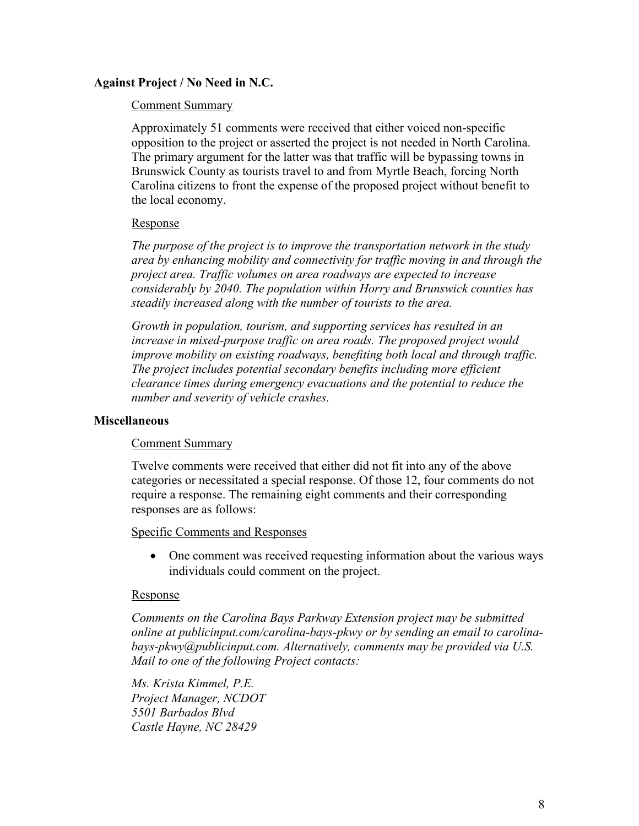### **Against Project / No Need in N.C.**

#### Comment Summary

Approximately 51 comments were received that either voiced non-specific opposition to the project or asserted the project is not needed in North Carolina. The primary argument for the latter was that traffic will be bypassing towns in Brunswick County as tourists travel to and from Myrtle Beach, forcing North Carolina citizens to front the expense of the proposed project without benefit to the local economy.

#### Response

*The purpose of the project is to improve the transportation network in the study area by enhancing mobility and connectivity for traffic moving in and through the project area. Traffic volumes on area roadways are expected to increase considerably by 2040. The population within Horry and Brunswick counties has steadily increased along with the number of tourists to the area.* 

*Growth in population, tourism, and supporting services has resulted in an increase in mixed-purpose traffic on area roads. The proposed project would improve mobility on existing roadways, benefiting both local and through traffic. The project includes potential secondary benefits including more efficient clearance times during emergency evacuations and the potential to reduce the number and severity of vehicle crashes.* 

#### **Miscellaneous**

#### Comment Summary

Twelve comments were received that either did not fit into any of the above categories or necessitated a special response. Of those 12, four comments do not require a response. The remaining eight comments and their corresponding responses are as follows:

#### Specific Comments and Responses

• One comment was received requesting information about the various ways individuals could comment on the project.

#### Response

*Comments on the Carolina Bays Parkway Extension project may be submitted online at publicinput.com/carolina-bays-pkwy or by sending an email to carolinabays-pkwy@publicinput.com. Alternatively, comments may be provided via U.S. Mail to one of the following Project contacts:*

*Ms. Krista Kimmel, P.E. Project Manager, NCDOT 5501 Barbados Blvd Castle Hayne, NC 28429*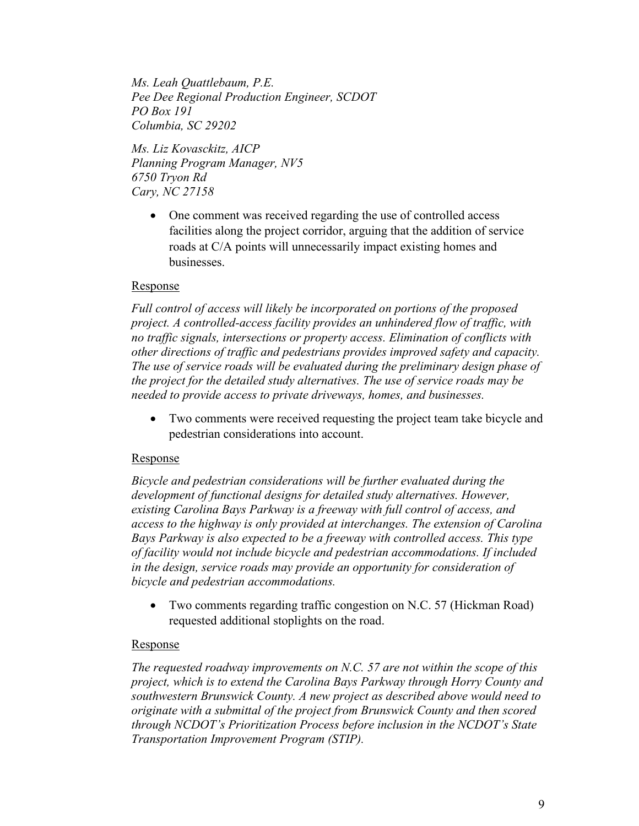*Ms. Leah Quattlebaum, P.E. Pee Dee Regional Production Engineer, SCDOT PO Box 191 Columbia, SC 29202*

*Ms. Liz Kovasckitz, AICP Planning Program Manager, NV5 6750 Tryon Rd Cary, NC 27158*

> • One comment was received regarding the use of controlled access facilities along the project corridor, arguing that the addition of service roads at C/A points will unnecessarily impact existing homes and businesses.

### Response

*Full control of access will likely be incorporated on portions of the proposed project. A controlled-access facility provides an unhindered flow of traffic, with no traffic signals, intersections or property access. Elimination of conflicts with other directions of traffic and pedestrians provides improved safety and capacity. The use of service roads will be evaluated during the preliminary design phase of the project for the detailed study alternatives. The use of service roads may be needed to provide access to private driveways, homes, and businesses.*

Two comments were received requesting the project team take bicycle and pedestrian considerations into account.

## Response

*Bicycle and pedestrian considerations will be further evaluated during the development of functional designs for detailed study alternatives. However, existing Carolina Bays Parkway is a freeway with full control of access, and access to the highway is only provided at interchanges. The extension of Carolina Bays Parkway is also expected to be a freeway with controlled access. This type of facility would not include bicycle and pedestrian accommodations. If included in the design, service roads may provide an opportunity for consideration of bicycle and pedestrian accommodations.* 

• Two comments regarding traffic congestion on N.C. 57 (Hickman Road) requested additional stoplights on the road.

## Response

*The requested roadway improvements on N.C. 57 are not within the scope of this project, which is to extend the Carolina Bays Parkway through Horry County and southwestern Brunswick County. A new project as described above would need to originate with a submittal of the project from Brunswick County and then scored through NCDOT's Prioritization Process before inclusion in the NCDOT's State Transportation Improvement Program (STIP).*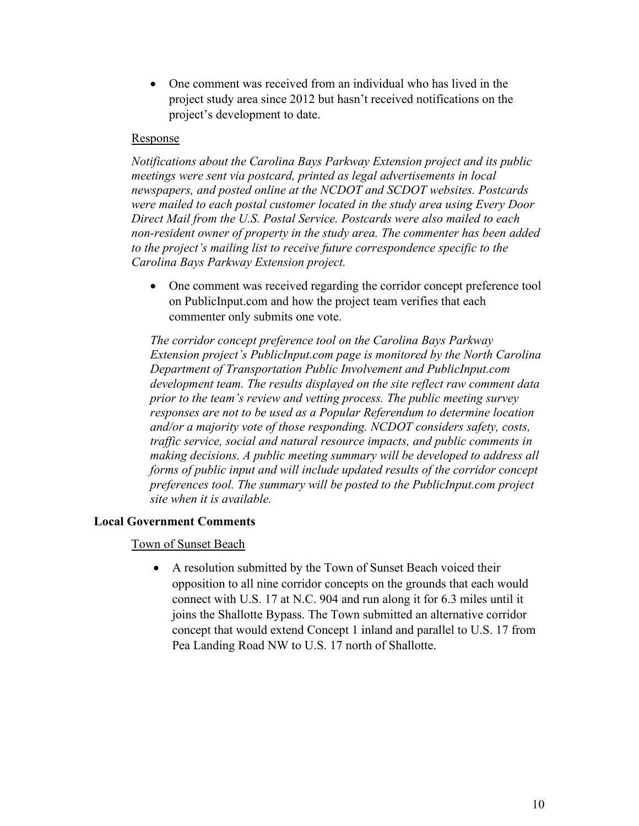• One comment was received from an individual who has lived in the project study area since 2012 but hasn't received notifications on the project's development to date.

#### Response

*Notifications about the Carolina Bays Parkway Extension project and its public meetings were sent via postcard, printed as legal advertisements in local newspapers, and posted online at the NCDOT and SCDOT websites. Postcards were mailed to each postal customer located in the study area using Every Door Direct Mail from the U.S. Postal Service. Postcards were also mailed to each non-resident owner of property in the study area. The commenter has been added to the project's mailing list to receive future correspondence specific to the Carolina Bays Parkway Extension project.*

• One comment was received regarding the corridor concept preference tool on PublicInput.com and how the project team verifies that each commenter only submits one vote.

*The corridor concept preference tool on the Carolina Bays Parkway Extension project's PublicInput.com page is monitored by the North Carolina Department of Transportation Public Involvement and PublicInput.com development team. The results displayed on the site reflect raw comment data prior to the team's review and vetting process. The public meeting survey responses are not to be used as a Popular Referendum to determine location and/or a majority vote of those responding. NCDOT considers safety, costs, traffic service, social and natural resource impacts, and public comments in making decisions. A public meeting summary will be developed to address all forms of public input and will include updated results of the corridor concept preferences tool. The summary will be posted to the PublicInput.com project site when it is available.*

### **Local Government Comments**

Town of Sunset Beach

• A resolution submitted by the Town of Sunset Beach voiced their opposition to all nine corridor concepts on the grounds that each would connect with U.S. 17 at N.C. 904 and run along it for 6.3 miles until it joins the Shallotte Bypass. The Town submitted an alternative corridor concept that would extend Concept 1 inland and parallel to U.S. 17 from Pea Landing Road NW to U.S. 17 north of Shallotte.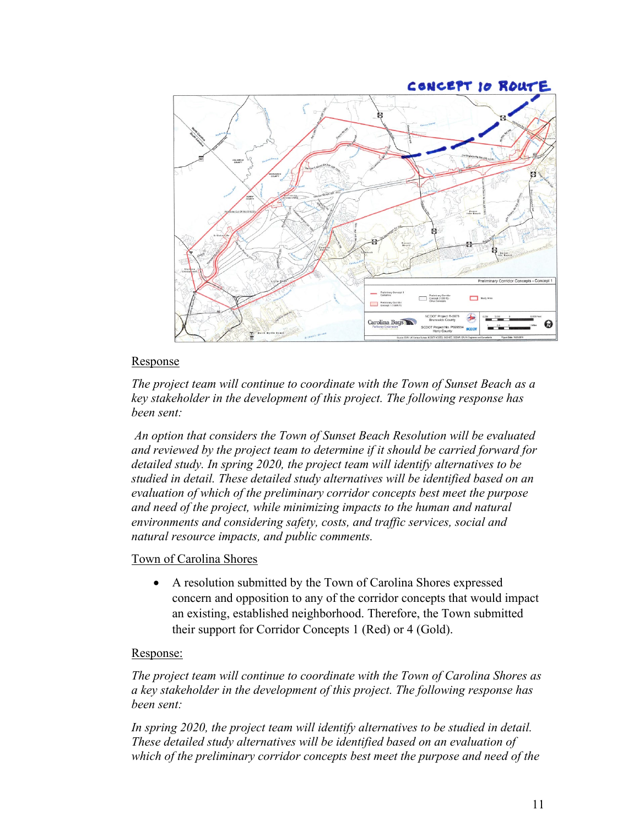

## Response

*The project team will continue to coordinate with the Town of Sunset Beach as a key stakeholder in the development of this project. The following response has been sent:*

*An option that considers the Town of Sunset Beach Resolution will be evaluated and reviewed by the project team to determine if it should be carried forward for detailed study. In spring 2020, the project team will identify alternatives to be studied in detail. These detailed study alternatives will be identified based on an evaluation of which of the preliminary corridor concepts best meet the purpose and need of the project, while minimizing impacts to the human and natural environments and considering safety, costs, and traffic services, social and natural resource impacts, and public comments.*

### Town of Carolina Shores

• A resolution submitted by the Town of Carolina Shores expressed concern and opposition to any of the corridor concepts that would impact an existing, established neighborhood. Therefore, the Town submitted their support for Corridor Concepts 1 (Red) or 4 (Gold).

#### Response:

*The project team will continue to coordinate with the Town of Carolina Shores as a key stakeholder in the development of this project. The following response has been sent:*

*In spring 2020, the project team will identify alternatives to be studied in detail. These detailed study alternatives will be identified based on an evaluation of which of the preliminary corridor concepts best meet the purpose and need of the*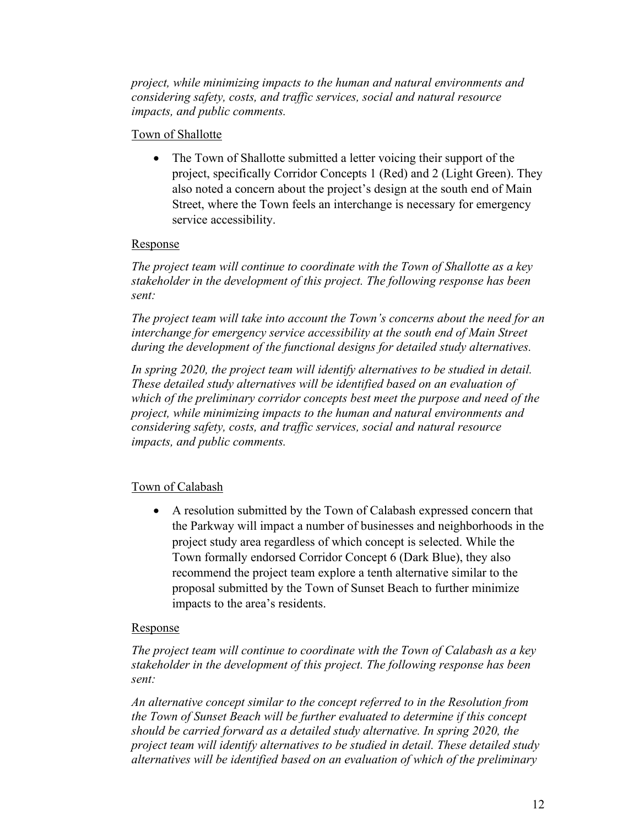*project, while minimizing impacts to the human and natural environments and considering safety, costs, and traffic services, social and natural resource impacts, and public comments.*

## Town of Shallotte

• The Town of Shallotte submitted a letter voicing their support of the project, specifically Corridor Concepts 1 (Red) and 2 (Light Green). They also noted a concern about the project's design at the south end of Main Street, where the Town feels an interchange is necessary for emergency service accessibility.

### Response

*The project team will continue to coordinate with the Town of Shallotte as a key stakeholder in the development of this project. The following response has been sent:*

*The project team will take into account the Town's concerns about the need for an*  interchange for emergency service accessibility at the south end of Main Street *during the development of the functional designs for detailed study alternatives.*

*In spring 2020, the project team will identify alternatives to be studied in detail. These detailed study alternatives will be identified based on an evaluation of which of the preliminary corridor concepts best meet the purpose and need of the project, while minimizing impacts to the human and natural environments and considering safety, costs, and traffic services, social and natural resource impacts, and public comments.*

## Town of Calabash

• A resolution submitted by the Town of Calabash expressed concern that the Parkway will impact a number of businesses and neighborhoods in the project study area regardless of which concept is selected. While the Town formally endorsed Corridor Concept 6 (Dark Blue), they also recommend the project team explore a tenth alternative similar to the proposal submitted by the Town of Sunset Beach to further minimize impacts to the area's residents.

## Response

*The project team will continue to coordinate with the Town of Calabash as a key stakeholder in the development of this project. The following response has been sent:*

*An alternative concept similar to the concept referred to in the Resolution from the Town of Sunset Beach will be further evaluated to determine if this concept should be carried forward as a detailed study alternative. In spring 2020, the project team will identify alternatives to be studied in detail. These detailed study alternatives will be identified based on an evaluation of which of the preliminary*